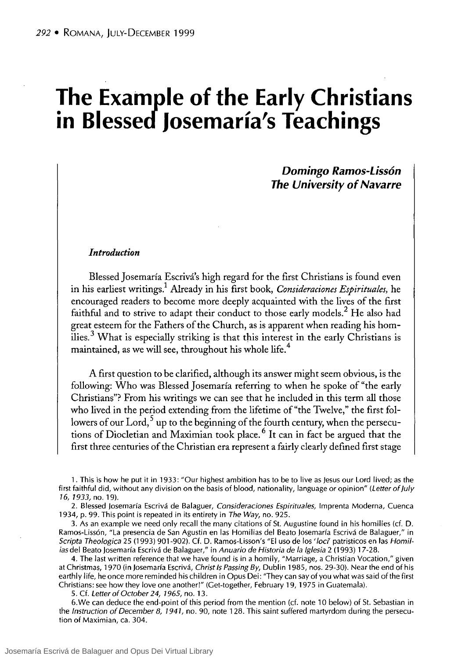# **The Example of the Early Christians in Blessed Josemaría's Teachings**

*Domingo Ramos-Lissón The University of Navarre* 

#### *Infroduction*

Blessed Josemaría Escrivá's high regard for the first Christians is found even in his earliest writings.1 Already in his frrst book, *Consideraciones Espirituales,* he encouraged readers to become more deeply acquainted with the 1ives of the first faithful and to strive to adapt their conduct to those early models.<sup>2</sup> He also had great esteem for the Fathers of the Church, as is apparent when reading his homilies. 3 What is especially striking is that this interest in the early Christians is maintained, as we will see, throughout his whole life.<sup>4</sup>

A first question to be clarified, although its answer might seem obvious, is the following: Who was Blessed Josemaría referring to when he spoke of "the early Christians"? From his writings we can see that he included in this term all those who lived in the period extending from the lifetime of "the Twelve," the first followers of our  $\operatorname{Lord}^5$  up to the beginning of the fourth century, when the persecutions of Diocletian and Maximian took place. 6 It can in fact be argued that the first three centuries of the Christian era represent a fairly clearly defined first stage

1. This is how he put it in 1933: "Our highest ambition has to be to live as jesus our Lord lived; as the first faithful did, without any division on the basis of blood, nationality, language or opinion" (Letter of July 16, 1933, no. 19).

2. Blessed Josemaría Escrivá de Balaguer, Consideraciones Espirituales, Imprenta Moderna, Cuenca 1934, p. 99. This point is repeated in its entirety in The Way, no. 925.

3. As an example we need only recall the many citations of St. Augustine found in his homilies (cf. D. Ramos-Lissón, "La presencia de San Agustin en las Homilias del Beato josemaría Escrivá de Balaguer," in Scripta Theologica 25 (1993) 901-902). Cf. D. Ramos-Lisson's "El uso de los 'loci' patristicos en las Homilias del Beato josemaría Escrivá de Balaguer," in Anuario de Historia de la Iglesia 2 (1993) 17-28.

4. The last written reference that we have found is in a homily, "Marriage, a Christian Vocation," given at Christmas, 1970 (in Josemaría Escrivá, Christ Is Passing By, Dublin 1985, nos. 29-30). Near the end of his earthly Iife, he once more reminded his children in Opus Dei: "They can say of you what was said of the first Christians: see how they love one another!" (Get-together, February 19, 1975 in Guatemala).

5. Cf. Letter of October 24, 1965, no. 13.

6. We can deduce the end-point of this period from the mention (cf. note 10 below) of St. Sebastian in the Instruction of December 8, 1941, no. 90, note 128. This saint suffered martyrdom during the persecution of Maximian, ca. 304.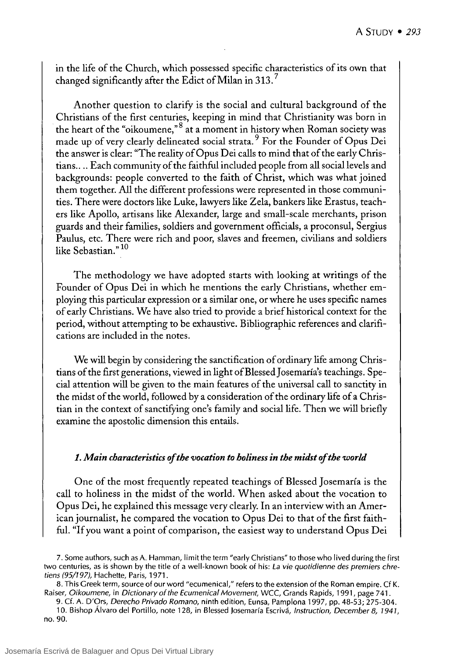in the life of the Church, which possessed specific characteristics of its own that changed significantly after the Edict of Milan in 313.

Another question to clarify is the social and cultural background of the Christians of the first centuries, keeping in mind that Christianity was born in the heart of the "oikoumene," $8$  at a moment in history when Roman society was made up of very clearly delineated social strata. 9 For the Founder of Opus Dei the answer is clear: "The reality of Opus Dei calls to mind that of the early Christians.... Each community of the faithful included people from all social levels and backgrounds: people converted to the faith of Christ, which was what joined them together. Al1 the different professions were represented in those communities. There were doctors like Luke, lawyers like Zela, bankers like Erastus, teachers like Apollo, artisans like Alexander, large and small-scale merchants, prison guards and their families, soldiers and government officials, a proconsul, Sergius Paulus, etc. There were rich and poor, slaves and freemen, civilians and soldiers like Sebastian." 10

The methodology we have adopted starts with looking at writings of the Founder of Opus Dei in which he mentions the early Christians, whether employing this particular expression or a similar one, or where he uses specific names of early Christians. We have also tried to provide a briefhistorical context for the period, without attempting to be exhaustive. Bibliographic references and clarifications are included in the notes.

We will begin by considering the sanctification of ordinary life among Christians of the first generations, viewed in light ofBlessed Josemaría's teachings. Special attention will be given to the main features of the universal call to sanctity in the midst of the world, followed by a consideration of the ordinary life of a Christian in the context of sanctifying one's family and social life. Then we will briefly examine the apostolic dimension this entails.

#### 1. Main characteristics of the vocation to holiness in the midst of the world

One of the most frequently repeated teachings of Blessed Josemaría is the call to holiness in the midst of the world. When asked about the vocation to Opus Dei, he explained this message very clearly. In an interview with an American journalist, he compared the vocation to Opus Dei to that of the first faithfuI. "lf you want a point of comparison, the easiest way to understand Opus Dei

<sup>7.</sup> Some authors, such as A. Hamman, limit the term "early Christians" to those who lived during the first two centuries, as is shown by the title of a well-known book of his: La vie quotidienne des premiers chretiens (95/197), Haehette, Paris, 1971.

<sup>8.</sup> This Greek term, souree of our word "eeumenieal," refers to the extension of the Roman empire. Cf K. Raiser, Oikoumene, in Dictionary of the Ecumenical Movement, WCC, Grands Rapids, 1991, page 741.

<sup>9.</sup> Cf. A. D'Ors, Derecho Privado Romano, ninth edition, Eunsa, Pamplona 1997, pp. 48-53; 275-304.

<sup>10.</sup> Bishop Álvaro del Portillo, note 128, in Blessed Josemaría Eserivá, Instruction, December 8, 1941, no. 90.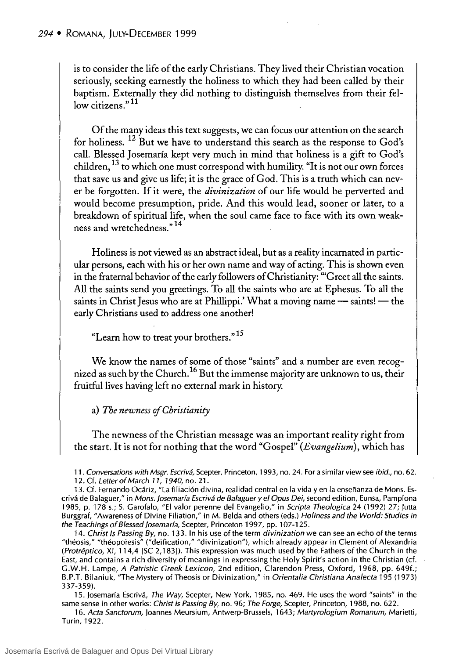is to consider the life of the ear1y Christians. They lived their Christian vocation seriously, seeking earnestly the holiness to which they had been called by their baptism. Externally they did nothing to distinguish themselves from their fellow citizens."<sup>11</sup>

Of the many ideas this text suggests, we can focus our attention on the search for holiness.<sup>12</sup> But we have to understand this search as the response to God's call. Blessed Josemaría kept very much in mind that holiness is a gift to God's children,  $^{13}$  to which one must correspond with humility. "It is not our own forces that save us and give us life; it is the grace of God. This is a truth which can never be forgotten. lf it were, the *divinization* of our life would be perverted and would become presumption, pride. And this would lead, sooner or later, to a breakdown of spiritual life, when the soul came face to face with its own weakness and wretchedness."<sup>14</sup>

Holiness is not viewed as an abstract ideal, but as a reality incarnated in particular persons, each with his or her own name and way of acting. This is shown even in the fraternal behavior of the early followers of Christianity: "'Creet all the saints. All the saints send you greetings. To all the saints who are at Ephesus. To all the saints in Christ Jesus who are at Phillippi.' What a moving name  $-$  saints!  $-$  the early Christians used to address one another!

"Learn how to treat your brothers."<sup>15</sup>

We know the names of sorne of those "saints" and a number are even recognized as such by the Church.<sup>16</sup> But the immense majority are unknown to us, their fruitful lives having left no external mark in history.

a) *The newness ofChristianity* 

The newness of the Christian message was an important reality right from the start. It is not for nothing that the word "Cospel" *(Evangelium)*, which has

11. Conversations with Msgr. Escrivá, Scepter, Princeton, 1993, no. 24. For a similar view see ibid., no. 62. 12. Cf. Letter of March 11, 1940, no. 2l.

13. Cf. Fernando Ocáriz, "La filiación divina, realidad central en la vida yen la enseñanza de Mons. Escrivá de Balaguer," in Mons. Josemaría Escrivá de Balaguer y el Opus Dei, second edition, Eunsa, Pamplona 1985, p. 178 s.; S. Garofalo, "El valor perenne del Evangelio," in Scripta Theologica 24 (1992) 27; Jutta Burggraf, "Awareness of Divine Filiation," in M. Belda and others (eds.) Holiness and the World: Studies in the Teachings of Blessed Josemaría, Scepter, Princeton 1997, pp. 107-125.

14. Christ Is Passing By, no. 133. In his use of the term divinization we can see an echo of the terms "théosis," "théopoiesis" ("deification," "divinization"), which already appear in Clement of Alexandria (Protréptico, XI, 114,4 [SC 2,183]). This expression was much used by the Fathers of the Church in the East, and contains a rich diversity of meanings in expressing the Holy Spirit's action in the Christian (cf. G.W.H. Lampe, A Patristic Greek Lexicon, 2nd edition, Clarendon Press, Oxford, 1968, pp. 649f.; B.P.T. Bilaniuk, "The Mystery of Theosis or Divinization," in Orientalia Christiana Analecta 195 (1973) 337-359).

15. Josemaría Escrivá, The Way, Scepter, New York, 1985, no. 469. He uses the word "saints" in the same sense in other works: Christ is Passing By, no. 96; The Forge, Scepter, Princeton, 1988, no. 622.

16. Acta Sanctorum, Joannes Meursium, Antwerp-Brussels, 1643; Martyrologium Romanum, Marietti, Turin, 1922.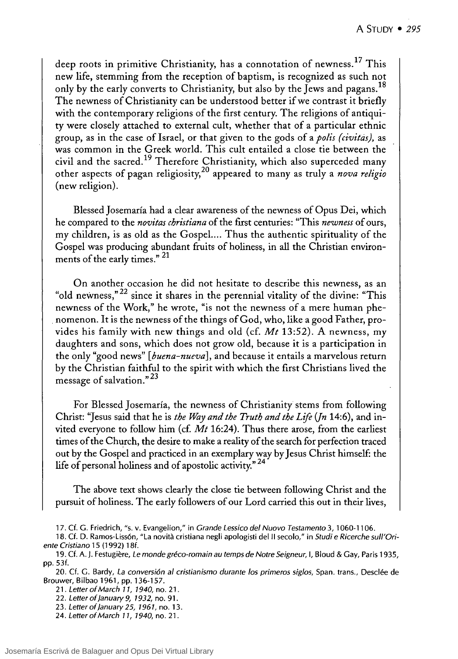deep roots in primitive Christianity, has a connotation of newness.<sup>17</sup> This new life, stemming from the reception of baptism, is recognized as such not only by the early converts to Christianity, but also by the Jews and pagans.<sup>18</sup> The newness of Christianity can be understood better if we contrast it briefly with the contemporary religions of the first century. The religions of antiquity were closely attached to external cult, whether that of a particular ethnic group, as in the case of Israel, or that given to the gods of a *polis (civittis),* as was common in the Greek world. This cult entailed a close tie between the civil and the sacred.<sup>19</sup> Therefore Christianity, which also superceded many other aspects of pagan religiosity,20 appeared to many as truly a *nova religio*  (new religion).

Blessed Josemaría had a clear awareness of the newness of Opus Dei, which he compared to the *novitas christiana* of the first centuries: "This *newness* of ours, my children, is as old as the Gospel.... Thus the authentic spirituality of the Gospel was producing abundant fruits of holiness, in all the Christian environments of the early times." 21

On another occasion he did not hesitate to describe this newness, as an "old newness," $^{22}$  since it shares in the perennial vitality of the divine: "This newness of the Work," he wrote, "is not the newness of a mere human phe- . nomenon. It is the newness of the things of God, who, like a good Father, provides his family with new things and old (cf. *Mt* 13:52). A newness, my daughters and sons, which does not grow old, because it is a participation in the only "good news" *[buena-nueva],* and because it entails a marvelous return by the Christian faithful to the spirit with which the first Christians lived the message of salvation."23

For Blessed Josemaría, the newness of Christianity stems from following Christ: "Jesus said that he is *the Way and the Truth and the Lije (fn* 14:6), and invited everyone to follow him (cf. *Mt* 16:24). Thus there arose, from the earliest times of the Church, the desire to make a reality of the search for perfection traced out by the Gospel and practiced in an exemplary way by Jesus Christ himself: the life of personal holiness and of apostolic activity."<sup>24</sup>

The aboye text shows clearly the close tie between following Christ and the pursuit of holiness. The early followers of our Lord carried this out in their lives,

<sup>17.</sup> Cf. G. Friedrich, "s. v. Evangelion," in Grande Lessico del Nuovo Testamento 3, 1060-1106.

<sup>18.</sup> Cf. D. Ramos-Lissón, "La novità cristiana negli apologisti del II secolo," in Studi e Ricerche sull'Oriente Cristiano 15 (1992) 18f.

<sup>19.</sup> Cf. A. J. Festugiere, Le monde gréco-romain au temps de Notre Seigneur, 1, Bloud & Gay, Paris 1935, pp. 53f.

<sup>20.</sup> Cf. G. Bardy, La conversión al cristianismo durante 105 primeros siglos, Span. trans., Desclée de Brouwer, Bilbao 1961, pp. 136-157.

<sup>21 .</sup> Letter of March 11, 1940, no. 21 .

<sup>22.</sup> Letter of January 9, 1932, no. 91. 23. Letter of January 25, 1961, no. 13.

<sup>24.</sup> Letter of March 11, 1940, no. 21.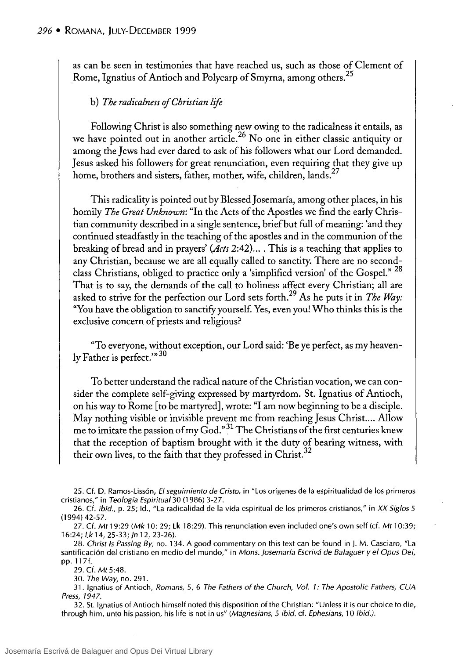as can be seen in testimonies that have reached us, such as those of Clement of Rome, Ignatius of Antioch and Polycarp of Smyrna, among others.<sup>25</sup>

## b) *The radicalness ofChristian lije*

Following Christ is also something new owing to the radicalness it entails, as we have pointed out in another article.<sup>26</sup> No one in either classic antiquity or among the Jews had ever dared to ask of his followers what our Lord demanded. Jesus asked his followers for great renunciation, even requiring that they give up home, brothers and sisters, father, mother, wife, children, lands.<sup>27</sup>

This radicality is pointed out by Blessed Josemaría, among other places, in his homily *The Creat Unknown:* "In the Acts of the Apostles we find the early Christian community described in a single sentence, briefbut full of meaning: 'and they continued steadfastly in the teaching of the apostles and in the communion of the breaking ofbread and in prayers' *(Acts* 2:42) .... This is a teaching that applies to any Christian, because we are all equally called to sanctity. There are no secondclass Christians, obliged to practice only a 'simplified version' of the Gospel."<sup>28</sup> That is to say, the demands of the call to holiness affect every Christian; all are asked to strive for the perfection our Lord sets forth.29 As he puts it in *The Way:*  "You have the obligation to sanctifyyourself. Yes, even you! Who thinks this is the exclusive concern of priests and religious?

"To everyone, without exception, our Lord said: 'Be ye perfect, as my heavenly Father is perfect. $"30$ 

To better understand the radical nature of the Christian vocation, we can consider the complete self-giving expressed by martyrdom. St. Ignatius of Antioch, on his way to Rome [to be martyred], wrote: "1 am now beginning to be a disciple. May nothing visible or invisible prevent me from reaching Jesus Christ.... Allow me to imitate the passion of my God." $31$  The Christians of the first centuries knew that the reception of baptism brought with it the duty of bearing witness, with their own lives, to the faith that they professed in Christ.<sup>32</sup>

25. Cf. D. Ramos-Lissón, El seguimiento de Cristo, in "Los orígenes de la espiritualidad de los primeros cristianos," in Teología Espiritual 30 (1986) 3-27.

26. Cf. ibid., p. 25; Id., "La radicalidad de la vida espiritual de los primeros cristianos," in XX Siglos 5 (1994) 42-57.

27. Cf. Mt 19:29 (Mk 10: 29; Lk 18:29). This renunciation even included one's own self (cf. Mt 10:39; 16:24; Lk 14, 25-33; Jn 12, 23-26).

28. Christ Is Passing By, no. 134. A good commentary on this text can be found in J. M. Casciaro, "La santificación del cristiano en medio del mundo," in Mons. Josemaría Escrivá de Balaguer y el Opus Dei, pp. 117f.

29. Cf. Mt 5:48.

30. The Way, no. 291.

31. Ignatius of Antioch, Romans, 5, 6 The Fathers of the Church, Vol. 1: The Apostolic Fathers, CUA Press, 1947.

32. SI. Ignatius of Antioch himself noted this disposition of the Christian: "Unless it is our choice to die, through him, unto his passion, his life is not in us" (Magnesians, 5 ibid. cf. Ephesians, 10 Ibid.).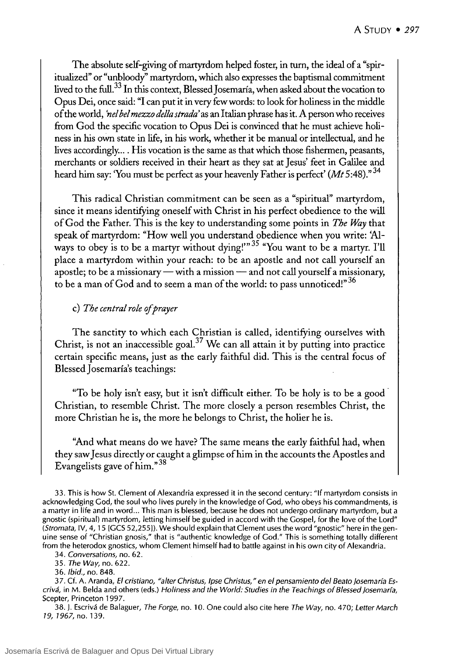The absolute self-giving of martyrdom helped foster, in turn, the ideal of a "spiritualized" or "unbloody" martyrdom, which also expresses the baptismal commitment lived to the full.<sup>33</sup> In this context, Blessed Josemaría, when asked about the vocation to Opus Dei, once said: "1 can put it in very few words: to look for holiness in the middle of the world, *'nel bel mezzo della strada'* as an Italian phrase has it. A person who receives from God the specific vocation to Opus Dei is convinced that he must achieve holiness in his own state in life, in his work, whether it be manual or intellectual, and he lives accordingly.... His vocation is the same as that which those fishermen, peasants, merchants or soldiers received in their heart as they sat at Jesus' feet in Galilee and heard him say: 'You must be perfect as your heavenly Father is perfect' *(Mt* 5:48)." 34

This radical Christian commitment can be seen as a "spiritual" martyrdom, since it means identifying oneself with Christ in his perfect obedience to the will ofGod the Father. This is the key to understanding sorne points in *The Way* that speak of martyrdom: "How we11 you understand obedience when you write: 'Always to obey is to be a martyr without dying!" $35$  "You want to be a martyr. I'll place a martyrdom within your reach: to be an apostle and not call yourself an apostle; to be a missionary — with a mission — and not call yourself a missionary, to be a man of God and to seem a man of the world: to pass unnoticed!"<sup>36</sup>

# c) *The central role ofprayer*

The sanctity to which each Christian is called, identifying ourselves with Christ, is not an inaccessible goal.<sup>37</sup> We can all attain it by putting into practice certain specific means, just as the early faithful did. This is the central focus of Blessed Josemaría's teachings:

"To be holy isn't easy, but it isn't difficult either. To be holy is to be a good . Christian, to resemble Christ. The more closely a person resembles Christ, the more Christian he is, the more he belongs to Christ, the holier he is.

"And what means do we have? The same means the early faithful had, when they saw Jesus directly or caught a glimpse of him in the accounts the Apostles and Evangelists gave of  $\lim_{n \to \infty}$ 

33. This is how St. Clement of Alexandria expressed it in the second century: "If martyrdom consists in acknowledging God, the soul who lives purely in the knowledge of God, who obeys his commandments, is a martyr in life and in word ... This man is blessed, because he does not undergo ordinary martyrdom, but a gnostic (spiritual) martyrdom, letting himself be guided in accord with the Gospel, for the love of the Lord" *(Stromata,* IV, 4, 15 [GCS 52,255]). We should explain that Clement uses the word "gnostic" here in the genuine sense of "Christian gnosis," that is "authentic knowledge of God." This is something totally different from the heterodox gnostics, whom Clement himself had to battle against in his own city of Alexandria.

*34. Conversations,* no. 62.

*35. The Way,* no. 622.

*36. Ibid.,* no. 848.

37. Cf. A. Aranda, *El cristiano, "alter Christus, Ipse Christus,* " *en el pensamiento del Beato josemaría Escrivá,* in M. Belda and others (eds.) *Holiness and the World: Studies in the Teachings of Blessed josemaría,*  Scepter, Princeton 1997.

38. j. Escrivá de Balaguer, *The Forge,* no. 10. One could also cite here *The Way,* no. 470; *Letter March*  19, 1967, no. 139.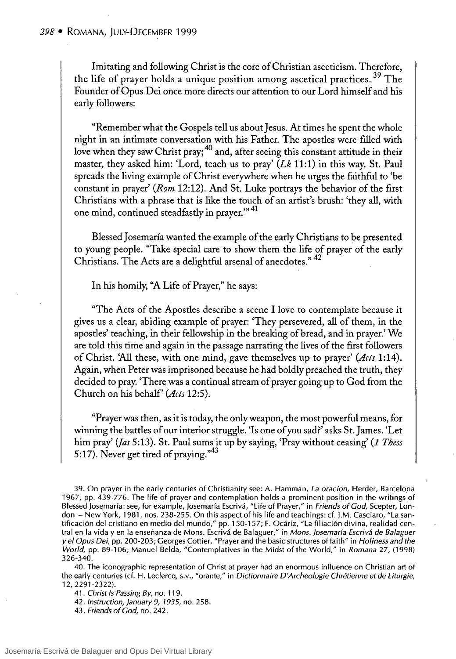Imitating and following Christ is the core of Christian asceticism. Therefore, the life of prayer holds a unique position among ascetical practices.<sup>39</sup> The Founder of Opus Dei once more directs our attention to our Lord himself and his early followers:

"Remember what the Gospels tell us about Jesus. At times he spent the whole night in an intimate conversation with his Father. The aposdes were filled with love when they saw Christ pray;<sup>40</sup> and, after seeing this constant attitude in their master, they asked him: 'Lord, teach us to pray'  $(Lk 11:1)$  in this way. St. Paul spreads the living example of Christ everywhere when he urges the faithful to 'be constant in prayer' (Rom 12:12). And St. Luke portrays the behavior of the first Christians with a phrase that is like the touch of an artist's brush: 'they all, with one mind, continued steadfastly in prayer."41

Blessed Josemaría wanted the example of the early Christians to be presented to young people. "Take special care to show them the life of prayer of the early Christians. The Acts are a delightful arsenal of anecdotes." 42

In his homily, "A Life of Prayer," he says:

"The Acts of the Aposdes describe a scene 1 love to contemplate because it gives us a clear, abiding example of prayer: 'They persevered, all of them, in the apostles' teaching, in their fellowship in the breaking of bread, and in prayer.' We are told this time and again in the passage narrating the lives of the first followers of Christ. 'All these, with one mind, gave themselves up to prayer' *(Acts* 1:14). Again, when Peter was imprisoned because he had boldly preached the truth, they decided to pray. 'There was a continual stream of prayer going up to God from the Church on his behalf' *(Acts 12:5).* 

"Prayer was then, as it is today, the only weapon, the most powerful means, for winning the battles of our interior struggle. 'Is one of you sad?' asks St. James. 'Let him pray' (Jas 5:13). St. Paul sums it up by saying, 'Pray without ceasing' (1 Thess 5:17). Never get tired of praying."<sup>43</sup>

39. On prayer in the early centuries of Christianity see: A. Hamman, La oracion, Herder, Barcelona 1967, pp. 439-776. The life of prayer and contemplation holds a prominent position in the writings of Blessed josemaría: see, for example, josemaría Escrivá, "Life of Prayer," in Friends of Cod, Scepter, London - New York, 1981, nos. 238-255. On this aspect of his life and teachings: cf. J.M. Casciaro, "La santificación del cristiano en medio del mundo," pp. 150-157; F. Ocáriz, "La filiación divina, realidad central en la vida y en la enseñanza de Mons. Escrivá de Balaguer," in Mons. Josemaría Escrivá de Balaguer y el Opus Dei, pp. 200-203; Georges Cottier, "Prayer and the basic structures of faith" in Holiness and the World, pp. 89-106; Manuel Belda, "Contemplatives in the Midst of the World," in Romana 27, (1998) 326-340.

40. The iconographic representation of Christ at prayer had an enormous influence on Christian art of the early centuries (d. H. Leclercq, s.v., "orante," in Dictionnaire D'Archeologie Chrétienne et de Liturgie, 12, 2291-2322).

41. Christ Is Passing By, no. 119.

42. *Instruction, January 9, 1935*, no. 258.

43. Friends of God, no. 242.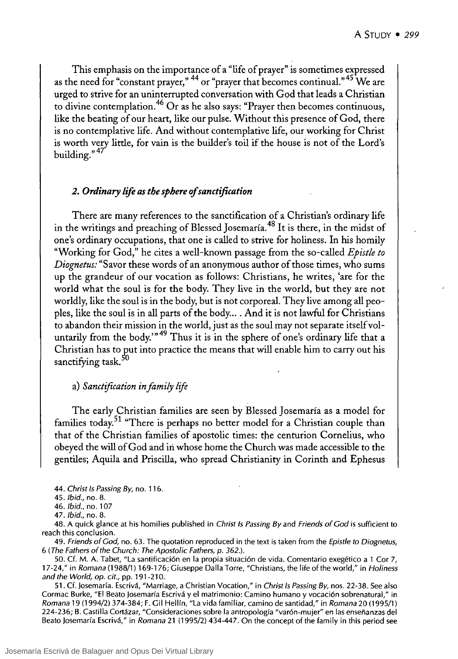This emphasis on the importance of a "life of prayer" is sometimes expressed as the need for "constant prayer,"  $44$  or "prayer that becomes continual."  $45$  We are urged to strive for an uninterrupted conversation with God that leads a Christian to divine contemplation.46 Or as he also says: "Prayer then becomes continuous, like the beating of our heart, like our pulse. Without this presence of God, there is no contemplative life. And without contemplative life, our working for Christ is worth very little, for vain is the builder's toíl if the house is not of the Lord's building."<sup>47</sup>

# *2. Ordinary lije as the sphere ofsanctification*

There are many references to the sanctification of a Christian's ordinary life in the writings and preaching of Blessed Josemaría.<sup>48</sup> It is there, in the midst of one's ordinary occupations, that one is called to strive for holiness. In his homily "Working for God," he cites a wel1-known passage from the so-called *Epist/e to Diognetus:* "Savor these words of an anonymous author of those times, who sums up the grandeur of our vocation as fol1ows: Christians, he writes, 'are for the world what the soul is for the body. They live in the world, but they are not worldly, like the soul is in the body, but is not corporeal. They live among all peoples, like the soul is in all parts of the body... . And it is not lawful for Christians to abandon their mission in the world, just as the soul may not separate itself voluntarily from the body." $49$  Thus it is in the sphere of one's ordinary life that a Christian has to put into practice the means that will enable him to carry out his sanctifying task.<sup>50</sup>

### a} *Sanctijication in family lije*

The early Christian families are seen by Blessed Josemaría as a model for families today.<sup>51</sup> "There is perhaps no better model for a Christian couple than that of the Christian families of apostolic times: the centurion Cornelius, who obeyed the will ofGod and in whose home the Church was made accessible to the gentiles; Aquila and Priscilla, who spread Christianity in Corinth and Ephesus

44. Christ Is Passing *By,* no. 116.

46. Ibid., no. 107

47. Ibid., no. 8.

48. A quick glance at his homilies published in Christ Is Passing *By* and Friends of Cod is sufficient to reach this conclusion.

49. Friends of God, no. 63. The quotation reproduced in the text is taken from the Epistle to Diognetus, 6 (The Fathers of the Church: The Apostolic Fathers, p. 362.).

50. Cf. M. A. Tabet, "La santificación en la propia situación de vida. Comentario exegético a 1 Cor 7, 17-24," in Romana (1988/1) 169-176; Giuseppe Dalla Torre, "Christians, the life of the world," in Holiness and the World, op. *cit.,* pp. 191-210.

51. Cf. Josemaría. Escrivá, "Marriage, a Christian Vocation," in Christ Is Passing *By,* nos. 22-38. See also Cormac Burke, "El Beato Josemaría Escrivá y el matrimonio: Camino humano y vocación sobrenatural," in Romana 19 (1994/2) 374-384; F. Gil Hellín, "La vida familiar, camino de santidad," in Romana 20 (1995/1) 224-236; B. Castilla Cortázar, "Consideraciones sobre la antropología "varón-mujer" en las enseñanzas del Beato Josemaría Escrivá," in Romana 21 (1995/2) 434-447. On the concept of the family in this period see

<sup>45.</sup> Ibid., no. 8.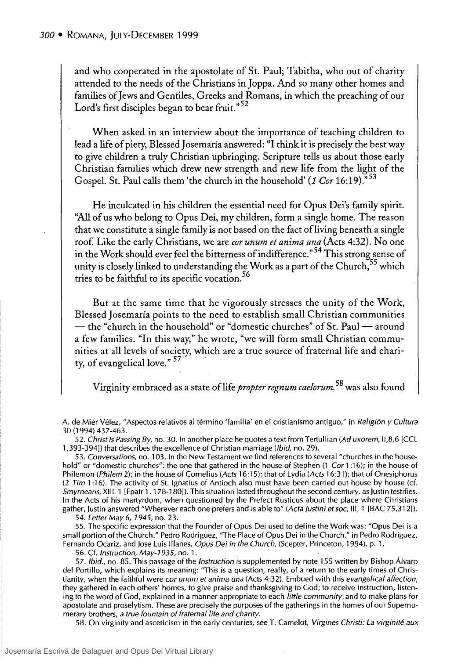and who cooperated in the apostolate of St. Paul; Tabitha, who out of charity attended to the needs of the Christians in Joppa. And so many other homes and families of Jews and Gentiles, Greeks and Romans, in which the preaching of our Lord's first disciples began to bear fruit."<sup>52</sup>

When asked in an interview about the importance of teaching children to lead a life of piety, Blessed Josemaría answered: "I think it is precisely the best way to give children a truly Christian upbringing. Scripture tells us about those early Christian families which drew new strength and new life from the light of the Gospel. St. Paul calls them 'the church in the household' (1 Cor 16:19)."53

He inculcated in his children the essential need for Opus Dei's family spirit. "All of us who belong to Opus Dei, my children, form a single home. The reason that we constitute a single family is not based on the fact of living beneath a single roof. Like the early Christians, we are *cor unum et anima una* (Acts 4:32). No one in the Work should ever feel the bitterness of indifference.<sup>754</sup> This strong sense of unity is closely linked to understanding the Work as a part of the Church,  $55$  which tries to be faithful to its specific vocation.<sup>56</sup>

But at the same time that he vigorously stresses the unity of the Work, Blessed Josemaría points to the need to establish small Christian communities  $-$  the "church in the household" or "domestic churches" of St. Paul $-$  around a few families. "In this way," he wrote, "we will form small Christian communities at all levels of society, which are a true source of fraternal life and charity, of evangelical love." 57

Virginity embraced as a state of life *propter regnum caelorum*.<sup>58</sup> was also found

A. de Mier Vélez, "Aspectos relativos al término 'familia' en el cristianismo antiguo," in Religión y Cultura 30 (1994) 437-463.

52. Christ Is Passing By, no. 30. In another place he quotes a text from Tertullian (Ad uxorem, II,8,6 [CCL 1,393-394]) that describes the excellence of Christian marriage (*Ibid*, no. 29).

*53.* Conversations, no. 103. In the New Testament we find references to several "churches in the household" or "domestic churches": the one that gathered in the house of Stephen (1 Cor 1:16); in the house of Philemon (Philem 2); in the house of Cornelius (Acts 16:15); that of Lydia (Acts 16:31); that of Onesiphorus  $(2$  Tim 1:16). The activity of St. Ignatius of Antioch also must have been carried out house by house (cf. Smymeans, XIII, 1 [Fpatr 1, 178-180]). This situation lasted throughout the second century, as Justin testifies. In the Acts of his martyrdom, when questioned by the Prefect Rusticus about the place where Christians gather, Justin answered "Wherever each one prefers and is able to" (Acta Justini et soc, III, 1 [BAC 75,312]). 54. Letter May 6, 1945, no. 23.

55. The specific expression that the Founder of Opus Dei used to define the Work was: "Opus Dei is a small portion of the Church." Pedro Rodriguez, "The Place of Opus Dei in the Church," in Pedro Rodriguez, Fernando Ocariz, and Jose Luis Illanes, Opus Dei in the Church, (Scepter, Princeton, 1994), p. 1.

56. Cf. Instruction, May-7 935, no. 1.

57. Ibid., no. 85. This passage of the Instruction is supplemented by note 155 written by Bishop Álvaro del Portillo, which explains its meaning: "This is a question, really, of a return to the early times of Christianity, when the faithful were cor unum et anima una (Acts 4:32). Embued with this evangelical affection, they gathered in each others' homes, to give praise and thanksgiving to God; to receive instruction, listening to the word of God, explained in a manner appropriate to each little community; and to make plans for apostolate and proselytism. These are precisely the purposes of the gatherings in the homes of our Supernumerary brothers, a true fountain of fraternal life and charity.

58. On virginity and asceticism in the early centuries, see T. Camelot, Virgines Christi: La virginité aux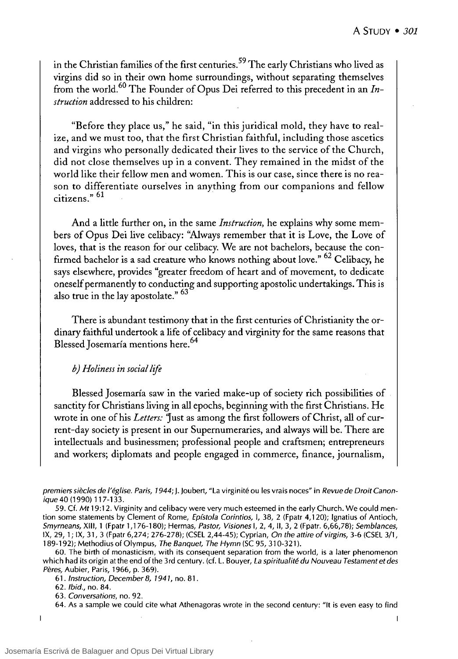in the Christian families of the first centuries.59 The early Christians who lived as virgins did so in their own home surroundings, without separating themselves from the world.<sup>60</sup> The Founder of Opus Dei referred to this precedent in an *Instruction* addressed to his children:

"Before they place us," he said, "in this juridical mold, they have to realize, and we must too, that the first Christian faithful, including those ascetics and virgins who personally dedicated their lives to the service of the Church, did not close themselves up in a convent. They remained in the midst of the world like their fellow men and women. This is our case, since there is no reason to differentiate ourselves in anything from our companions and fellow citizens.<sup>" 61</sup>

And a little further on, in the same *Instruction*, he explains why some members of Opus Dei live celibacy: ''A1ways remember that it is Love, the Love of loves, that is the reason for our celibacy. We are not bachelors, because the confirmed bachelor is a sad creature who knows nothing about love."  $62$  Celibacy, he says elsewhere, provides "greater freedom of heart and of movement, to dedicate oneself permanently to conducting and supporting apostolic undertakings. This is also true in the lay apostolate." 63

There is abundant testimony that in the first centuries of Christianity the ordinary faithful undertook a life of celibacy and virginity for the same reasons that Blessed Josemaría mentions here.<sup>64</sup>

### *b) Holiness in social lije*

Blessed Josemaría saw in the varied make-up of society rich possibilities of sanctity for Christians living in all epochs, beginning with the first Christians. He wrote in one of his *Letters:* 'Just as among the first followers of Christ, all of current-day society is present in our Supernumeraries, and always will be. There are intellectuals and businessmen; professional people and craftsmen; entrepreneurs and workers; diplomats and people engaged in commerce, finance, journalism,

premiers siècles de l'église. Paris, 1944; J. Joubert, "La virginité ou les vrais noces" in Revue de Droit Canonique 40 (1990) 117-133.

59. Cf. *Mt* 19:12. Virginity and celibacy were very much esteemed in the early Church. We could mention some statements by Clement of Rome, Epístola Corintios, I, 38, 2 (Fpatr 4,120); Ignatius of Antioch, Smyrneans, XIII, 1 (Fpatr 1,176-180); Hermas, Pastor, Visiones 1, 2, 4, 11, 3, 2 (Fpatr. 6,66,78); Semblances, IX, 29, 1; IX, 31,3 (Fpatr 6,274; 276-278); (CSEL 2,44-45); Cyprian, On the attire of virgins, 3-6 (CSEL 3/1, 189-192); Methodius of Olympus, The Banquet, The Hymn (SC 95, 310-321).

60. The birth of monasticism, with its consequent separation from the world, is a later phenomenon which had its origin at the end of the 3rd century. (cf. L. Bouyer, La spiritualité du Nouveau Testament et des Peres, Aubier, Paris, 1966, p. 369).

61 . Instruction, Oecember 8, 1941, no. 81 .

62. Ibid., no. 84.

63. Conversations, no. 92.

64. As a sample we could cite what Athenagoras wrote in the second century: "It is even easy to find

 $\overline{1}$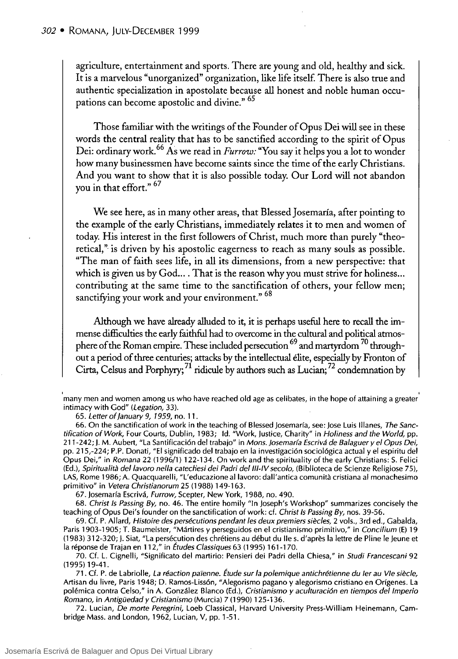agriculture, entertainment and sports. There are young and old, healthy and sick. It is a marvelous "unorganized" organization, like life itself. There is also true and authentic specialization in apostolate because all honest and noble human occupations can become apostolic and divine." 65

Those familiar with the writings of the Founder of Opus Dei will see in these words the central reality that has to be sanctified according to the spirit of Opus Dei: ordinary work.<sup>66</sup>As we read in *Furrow:* "You say it helps you a lot to wonder how many businessmen have become saints since the time of the early Christians. And you want to show that it is also possible today. Our Lord will not abandon you in that effort." <sup>67</sup>

We see here, as in many other areas, that Blessed ]osemaría, after pointing to the example of the early Christians, immediately relates it to men and women of today. His interest in the first followers of Christ, much more than purely "theoretical," is driven by his apostolic eagerness to reach as many souls as possible. "The man of faith sees life, in all its dimensions, from a new perspective: that which is given us by God... . That is the reason why you must strive for holiness... contributing at the same time to the sanctification of others, your fellow men; sanctifying your work and your environment." 68

Although we have already alluded to it, it is perhaps useful here to recall the immense difficulties the early faithful had to overcome in the cultural and political atmosphere of the Roman empire. These included persecution  $^{69}$  and martyrdom  $^{70}$  throughout a period of three centuries; attacks by the intellectual élite, especially by Fronton of Cirta, Celsus and Porphyry;  $^{71}$  ridicule by authors such as Lucian;  $^{72}$  condemnation by

65. Letter of January 9, 1959, no. 11.

66. On the sanctification of work in the teaching of Blessed Josemaría, see: Jose Luis IIIanes, The Sanctification of Work, Four Courts, Dublin, 1983; Id. "Work, Justice, Charity" in Holiness and the World, pp. 211-242; J. M. Aubert, "La Santificación del trabajo" in Mons. josemaría Escrivá de Balaguer y el Opus Dei, pp. 215,-224; P.P. Donati, "El significado del trabajo en la investigación sociológica actual y el espiritu del Opus Dei," in Romana 22 (1996/1) 122-134. On work and the spirituality of the early Christians: S. Felici (Ed.), Spiritualità del lavoro nella catechesi dei Padri del III-IV secolo, (Biblioteca de Scienze Religiose 75), LAS, Rome 1986; A. Quacquarelli, "L'educazione allavoro: dall'antica comunita cristiana al monachesimo primitivo" in Vetera Christianorum 25 (1988) 149-163.

67. Josemaría Escrivá, Furrow, Scepter, New York, 1988, no. 490.

68. Christ 15 Passing By, no. 46. The entire homily "In Joseph's Workshop" summarizes concisely the teaching of Opus Dei's founder on the sanctification of work: cf. Christ Is Passing By, nos. 39-56.

69. Cf. P. Allard, Histoire des persécutions pendant les deux premiers siecles, 2 vols., 3rd ed., Gabalda, Paris 1903-1905; T. Baumeister, "Mártires y perseguidos en el cristianismo primitivo," in Concilium (E) 19 (1983) 312-320; J. Siat, "La persécution des chrétiens au début du lIe s. d'apres la lettre de Pline le Jeune et la réponse de Trajan en 112," in Études Classiques 63 (1995) 161-170.

70. Cf. L. Cignelli, "Significato del martirio: Pensieri dei Padri della Chiesa," in Studi Francescani 92 (1995) 19-41.

71. Cf. P. de Labriolle, La réaction païenne. Étude sur la polemique antichrétienne du ler au VIe siècle, Artisan du livre, Paris 1948; D. Ramos-Lissón, "Alegorismo pagano y alegorismo cristiano en Orígenes. La polémica contra Celso," in A. González Blanco (Ed.), Cristianismo y aculturación en tiempos del Imperio Romano, in Antigüedad y Cristianismo (Murcia) 7 (1990) 125-136.

72. Lucian, De morte Peregrini, Loeb Classical, Harvard University Press-William Heinemann, Cambridge Mass. and London, 1962, Lucian, V, pp. 1-51.

<sup>&#</sup>x27;many men and women among us who have reached old age as celibates, in the hope of attaining a greater' intimacy with God" (Legation, 33).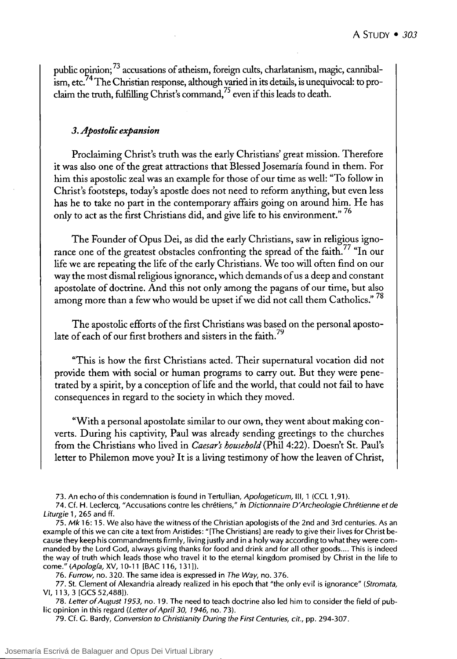public opinion;  $^{73}$  accusations of atheism, foreign cults, charlatanism, magic, cannibalism, etc.<sup>74</sup> The Christian response, although varied in its details, is unequivocal: to proclaim the truth, fulfilling Christ's command,75 even if this leads to death.

# *3. Apostolíc expansíon*

Proclaiming Christ's truth was the early Christians' great mission. Therefore it was also one of the great attractions that Blessed ]osemaría found in them. For him this apostolic zeal was an example for those of our time as well: "To follow in Christ's footsteps, today's apostle does not need to reform anything, but even less has he to take no part in the contemporary affairs going on around him. He has only to act as the first Christians did, and give life to his environment."<sup>76</sup>

The Founder of Opus Dei, as did the early Christians, saw in religious ignorance one of the greatest obstacles confronting the spread of the faith.<sup>77</sup> "In our life we are repeating the life of the early Christians. We too will often find on our way the most dismal religious ignorance, which demands of us a deep and constant apostolate of doctrine. And this not only among the pagans of our time, but also among more than a few who would be upset if we did not call them Catholics."<sup>78</sup>

The apostolic efforts of the first Christians was based on the personal apostolate of each of our first brothers and sisters in the faith.<sup>79</sup>

"This is how the first Christians acted. Their supernatural vocation did not provide them with social or human programs to carry out. But they were penetrated by a spirit, by a conception oflife and the world, that could not fail to have consequences in regard to the society in which they moved.

"With a personal apostolate similar to our own, theywent about making converts. During his captivity, Paul was already sending greetings to the churches from the Christians who lived in *Caesar's household* (Phil 4:22). Doesn't St. Paul's letter to Philemon move you? It is a living testimony of how the leaven of Christ,

76. Furrow, no. 320. The same idea is expressed in The Way, no. 376.

<sup>73.</sup> An echo of this condemnation is found in Tertullian, Apologeticum, III, 1 (CCL 1,91).

<sup>74.</sup> Cf. H. Leclercq, "Accusations contre les chrétiens," in Dictionnaire D'Archeologie Chrétienne et de Liturgie 1, 265 and ff.

<sup>75.</sup> Mk 16: 15. We also have the witness of the Christian apologists of the 2nd and 3rd centuries. As an example of this we can cite a text from Aristides: "[The Christiansl are ready to give their lives for Christ because they keep his commandments firmly, living justly and in a holy way according to what they were commanded by the Lord Cod, always giving thanks for food and drink and for all other goods .... This is indeed the way of truth which leads those who travel it to the eternal kingdom promised by Christ in the life to come." (Apología, XV, 10-11 [BAC 116, 131]).

<sup>77.</sup> St. Clement of Alexandria already realized in his epoch that "the only evil is ignorance" (Stromata, VI, 113, 3 [CCS 52,488]).

<sup>78.</sup> Letter of August 1953, no. 19. The need to teach doctrine also led him to consider the field of public opinion in this regard (Letter of April 30, 1946, no. 73).

<sup>79.</sup> Cf. C. Bardy, Conversion to Christianity During the First Centuries, *cit.,* pp. 294-307.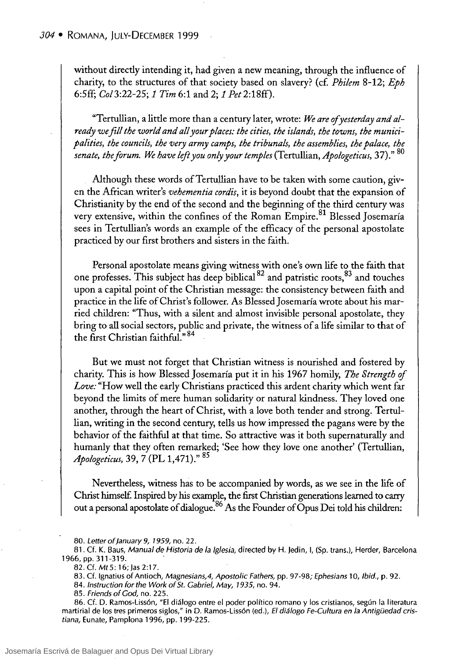without direcdy intending it, had given a new meaning, through the influence of charity, to the structures of that society based on slavery? (cf. *Philem* 8-12; *Eph*  6:5ff; *CoI3:22-25;* 1 *Tim* 6:1 and 2; 1 *Pet* 2:18ff).

"Tertullian, a litde more than a century later, wrote: *We are ofyesterday and already we jill the world and all your places: the cities, the islands, the towns, the munici*palities, the councils, the very army camps, the tribunals, the assemblies, the palace, the *senate, the Jorum. We have left you only your temples* (Tertullian, *Apologeticus,* 37)." 80

Although these words of Tertullian have to be taken with some caution, given the Mrican writer's *vehementia cordis,* it is beyond doubt that the expansion of Christianity by the end of the second and the beginning of the third century was very extensive, within the confines of the Roman Empire.<sup>81</sup> Blessed Josemaría sees in Tertullian's words an example of the efficacy of the personal apostolate practiced by our first brothers and sisters in the faith.

Personal apostolate means giving witness with one's own life to the faith that one professes. This subject has deep biblical  $^{82}$  and patristic roots,  $^{83}$  and touches upon a capital point of the Christian message: the consistency between faith and practice in the life of Christ's follower. As Blessed Josemaría wrote about his married children: "Thus, with a silent and almost invisible personal apostolate, they bring to all social sectors, public and private, the witness of a life similar to that of the first Christian faithful." 84

But we must not forget that Christian witness is nourished and fostered by charity. This is how Blessed Josemaría put it in his 1967 homily, The Strength of *Love:* "How well the early Christians practiced this ardent charity which went far beyond the limits of mere human solidarity or natural kindness. They loved one another, through the heart of Christ, with a love both tender and strong. Tertullian, writing in the second century, tells us how impressed the pagans were by the behavior of the faithful at that time. So attractive was it both supernaturally and humanly that they often remarked; 'See how they love one another' (Tertullian, *Apologeticus,* 39, 7 (PL 1,471)." 85

Nevertheless, witness has to be accompanied by words, as we see in the life of Christ himself. Inspired by his example, the first Christian generations learned to carry out a personal apostolate of dialogue.<sup>86</sup> As the Founder of Opus Dei told his children:

<sup>80.</sup> Letter of January 9, 1959, no. 22.

<sup>81.</sup> Cf. K. Baus, Manual de Historia de la Iglesia, directed by H. Jedin, 1, (Sp. trans.), Herder, Barcelona 1966, pp. 311-319.

<sup>82.</sup> Cf. Mt 5: 16; Jas 2:17.

<sup>83.</sup> Cf. Ignatius of Antioch, Magnesians,4, Apostolic Fathers, pp. 97-98; Ephesians 10, Ibid., p. 92.

<sup>84.</sup> Instruction for the Work of St. Gabriel, May, 1935, no. 94.

<sup>85.</sup> Friends of God, no. 225.

<sup>86.</sup> Cf. D. Ramos-Lissón, "El diálogo entre el poder político romano y los cristianos, según la literatura martirial de los tres primeros siglos," in D. Ramos-Lissón (ed.), El diálogo Fe-Cultura en la Antigüedad cristiana, Eunate, Pamplona 1996, pp. 199-225.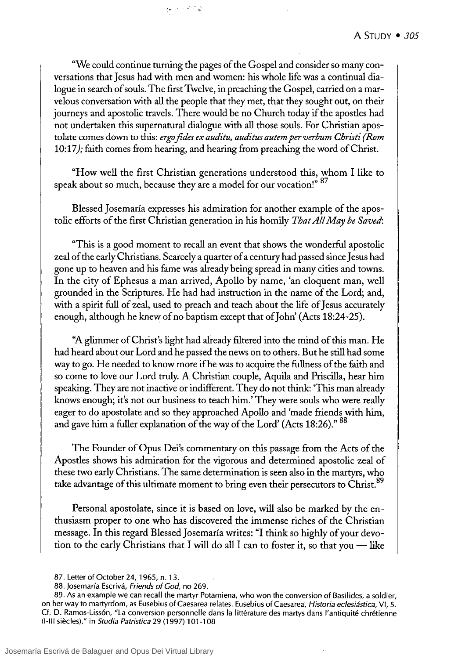"We could continue turning the pages of the Cospel and consider so many conversations that Jesus had with men and women: his whole life was a continual dialogue in search of souls. The frrst Twelve, in preaching the Cospel, carried on a marvelous conversation with all the people that they met, that they sought out, on their journeys and apostolic travels. There would be no Church today if the apostles had not undertaken this supernatural dialogue with all those souls. For Christian apostolate comes down to this: *ergo fides ex auditu, auditus autem perverbum Christi (Rom*  10:17); faith comes from hearing, and hearing from preaching the word ofChrist.

 $\sim 10^{11}$  M

"How weli the first Christian generations understood this, whom 1 like to speak about so much, because they are a model for our vocation!" 87

Blessed Josemaría expresses his admiration for another example of the apostolic efforts of the first Christian generation in his homily *That All May be Saved:* 

"This is a good moment to recall an event that shows the wonderful apostolic zeal of the early Christians. Scarcelya quarter of a century had passed since Jesus had gone up to heaven and his fame was already being spread in many cities and towns. In the city of Ephesus a man arrived, Apollo by name, 'an eloquent man, well grounded in the Scriptures. He had had instruction in the name of the Lord; and, with a spirit full of zeal, used to preach and teach about the life of Jesus accurately enough, although he knew of no baptism except that of John' (Acts 18:24-25).

"A glimmer of Christ's light had already filtered into the mind of this man. He had heard about our Lord and he passed the news on to others. But he still had sorne way to go. He needed to know more if he was to acquire the fullness of the faith and so come to love our Lord truly. A Christian couple, Aquila and Priscilla, hear him speaking. They are not inactive or indifferent. They do not think: 'This man already knows enough; it's not our business to teach him.' They were souls who were really eager to do apostolate and so they approached Apolio and 'made friends with him, and gave him a fuller explanation of the way of the Lord' (Acts 18:26)." 88

The Founder of Opus Dei's commentary on this passage from the Acts of the Apostles shows his admiration for the vigorous and determined apostolic zeal of these two early Christians. The same determination is seen also in the martyrs, who take advantage of this ultimate moment to bring even their persecutors to Christ.<sup>89</sup>

Personal apostolate, since it is based on love, will also be marked by the enthusiasm proper to one who has discovered the immense riches of the Christian message. In this regard Blessed Josemaría writes: "1 think so highly of your devotion to the early Christians that I will do all I can to foster it, so that you  $-$  like

<sup>87.</sup> Letter of October 24, 1965, n.13.

<sup>88.</sup> Josemaría Escrivá, Friends of God, no 269.

<sup>89.</sup> As an example we can recall the martyr Potamiena, who won the conversion of Basilides, a soldier, on her way to martyrdom, as Eusebius of Caesarea relates. Eusebius of Caesarea, *Historia eclesiástica,* VI, 5. Cf. D. Ramos-Lissón, "La conversion personnelle dans la littérature des martys dans l'antiquité chrétienne (1-111 siecles)," in *Studia Patristica* 29 (1997) 101-108